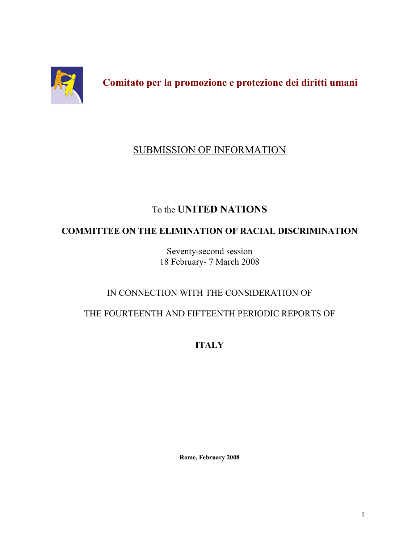

Comitato per la promozione e protezione dei diritti umani

# **SUBMISSION OF INFORMATION**

# To the **UNITED NATIONS**

# **COMMITTEE ON THE ELIMINATION OF RACIAL DISCRIMINATION**

Seventy-second session 18 February- 7 March 2008

# IN CONNECTION WITH THE CONSIDERATION OF

## THE FOURTEENTH AND FIFTEENTH PERIODIC REPORTS OF

**ITALY** 

Rome, February 2008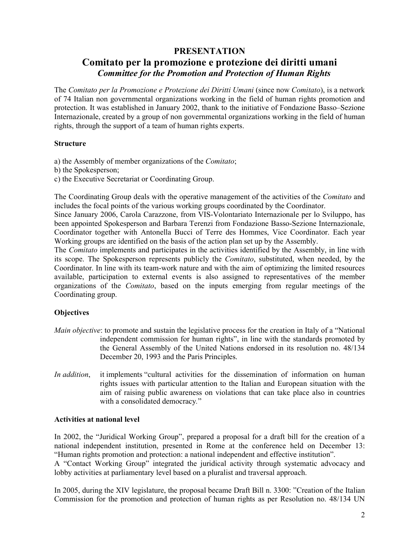## **PRESENTATION**

## Comitato per la promozione e protezione dei diritti umani **Committee for the Promotion and Protection of Human Rights**

The Comitato per la Promozione e Protezione dei Diritti Umani (since now Comitato), is a network of 74 Italian non governmental organizations working in the field of human rights promotion and protection. It was established in January 2002, thank to the initiative of Fondazione Basso–Sezione Internazionale, created by a group of non governmental organizations working in the field of human rights, through the support of a team of human rights experts.

#### **Structure**

a) the Assembly of member organizations of the *Comitato*;

- b) the Spokesperson;
- c) the Executive Secretariat or Coordinating Group.

The Coordinating Group deals with the operative management of the activities of the *Comitato* and includes the focal points of the various working groups coordinated by the Coordinator.

Since January 2006, Carola Carazzone, from VIS-Volontariato Internazionale per lo Sviluppo, has been appointed Spokesperson and Barbara Terenzi from Fondazione Basso-Sezione Internazionale, Coordinator together with Antonella Bucci of Terre des Hommes, Vice Coordinator. Each year Working groups are identified on the basis of the action plan set up by the Assembly.

The *Comitato* implements and participates in the activities identified by the Assembly, in line with its scope. The Spokesperson represents publicly the *Comitato*, substituted, when needed, by the Coordinator. In line with its team-work nature and with the aim of optimizing the limited resources available, participation to external events is also assigned to representatives of the member organizations of the *Comitato*, based on the inputs emerging from regular meetings of the Coordinating group.

## **Objectives**

- *Main objective:* to promote and sustain the legislative process for the creation in Italy of a "National" independent commission for human rights", in line with the standards promoted by the General Assembly of the United Nations endorsed in its resolution no. 48/134 December 20, 1993 and the Paris Principles.
- In addition. it implements "cultural activities for the dissemination of information on human rights issues with particular attention to the Italian and European situation with the aim of raising public awareness on violations that can take place also in countries with a consolidated democracy."

#### **Activities at national level**

In 2002, the "Juridical Working Group", prepared a proposal for a draft bill for the creation of a national independent institution, presented in Rome at the conference held on December 13: "Human rights promotion and protection: a national independent and effective institution".

A "Contact Working Group" integrated the juridical activity through systematic advocacy and lobby activities at parliamentary level based on a pluralist and traversal approach.

In 2005, during the XIV legislature, the proposal became Draft Bill n. 3300: "Creation of the Italian Commission for the promotion and protection of human rights as per Resolution no. 48/134 UN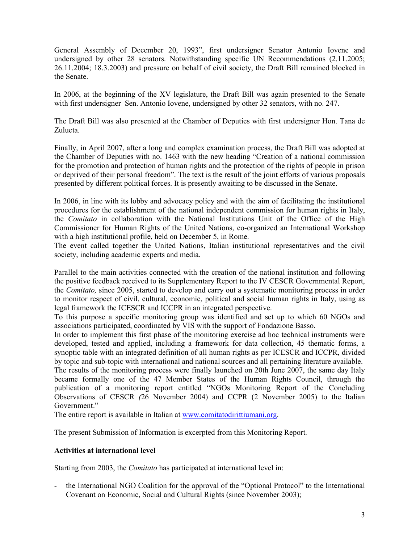General Assembly of December 20, 1993", first undersigner Senator Antonio Iovene and undersigned by other 28 senators. Notwithstanding specific UN Recommendations (2.11.2005; 26.11.2004; 18.3.2003) and pressure on behalf of civil society, the Draft Bill remained blocked in the Senate.

In 2006, at the beginning of the XV legislature, the Draft Bill was again presented to the Senate with first undersigner Sen. Antonio Iovene, undersigned by other 32 senators, with no. 247.

The Draft Bill was also presented at the Chamber of Deputies with first undersigner Hon. Tana de Zulueta.

Finally, in April 2007, after a long and complex examination process, the Draft Bill was adopted at the Chamber of Deputies with no. 1463 with the new heading "Creation of a national commission for the promotion and protection of human rights and the protection of the rights of people in prison or deprived of their personal freedom". The text is the result of the joint efforts of various proposals presented by different political forces. It is presently awaiting to be discussed in the Senate.

In 2006, in line with its lobby and advocacy policy and with the aim of facilitating the institutional procedures for the establishment of the national independent commission for human rights in Italy, the Comitato in collaboration with the National Institutions Unit of the Office of the High Commissioner for Human Rights of the United Nations, co-organized an International Workshop with a high institutional profile, held on December 5, in Rome.

The event called together the United Nations, Italian institutional representatives and the civil society, including academic experts and media.

Parallel to the main activities connected with the creation of the national institution and following the positive feedback received to its Supplementary Report to the IV CESCR Governmental Report, the Comitato, since 2005, started to develop and carry out a systematic monitoring process in order to monitor respect of civil, cultural, economic, political and social human rights in Italy, using as legal framework the ICESCR and ICCPR in an integrated perspective.

To this purpose a specific monitoring group was identified and set up to which 60 NGOs and associations participated, coordinated by VIS with the support of Fondazione Basso.

In order to implement this first phase of the monitoring exercise ad hoc technical instruments were developed, tested and applied, including a framework for data collection, 45 thematic forms, a synoptic table with an integrated definition of all human rights as per ICESCR and ICCPR, divided by topic and sub-topic with international and national sources and all pertaining literature available.

The results of the monitoring process were finally launched on 20th June 2007, the same day Italy became formally one of the 47 Member States of the Human Rights Council, through the publication of a monitoring report entitled "NGOs Monitoring Report of the Concluding Observations of CESCR (26 November 2004) and CCPR (2 November 2005) to the Italian Government"

The entire report is available in Italian at www.comitatodirittiumani.org.

The present Submission of Information is excerpted from this Monitoring Report.

## **Activities at international level**

Starting from 2003, the *Comitato* has participated at international level in:

the International NGO Coalition for the approval of the "Optional Protocol" to the International Covenant on Economic, Social and Cultural Rights (since November 2003);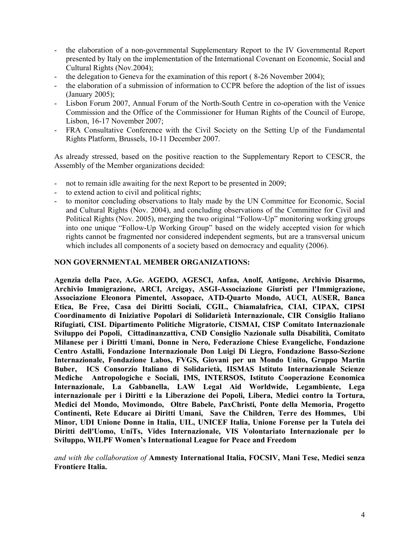- the elaboration of a non-governmental Supplementary Report to the IV Governmental Report  $\sim$ presented by Italy on the implementation of the International Covenant on Economic, Social and Cultural Rights (Nov.2004);
- the delegation to Geneva for the examination of this report  $(8-26)$  November 2004);  $\omega$  .
- the elaboration of a submission of information to CCPR before the adoption of the list of issues (January 2005);
- Lisbon Forum 2007, Annual Forum of the North-South Centre in co-operation with the Venice  $\omega$  . Commission and the Office of the Commissioner for Human Rights of the Council of Europe, Lisbon, 16-17 November 2007;
- FRA Consultative Conference with the Civil Society on the Setting Up of the Fundamental Rights Platform, Brussels, 10-11 December 2007.

As already stressed, based on the positive reaction to the Supplementary Report to CESCR, the Assembly of the Member organizations decided:

- not to remain idle awaiting for the next Report to be presented in 2009;  $\omega_{\rm{eff}}$
- to extend action to civil and political rights;  $\equiv$  .
- to monitor concluding observations to Italy made by the UN Committee for Economic, Social and Cultural Rights (Nov. 2004), and concluding observations of the Committee for Civil and Political Rights (Nov. 2005), merging the two original "Follow-Up" monitoring working groups into one unique "Follow-Up Working Group" based on the widely accepted vision for which rights cannot be fragmented nor considered independent segments, but are a transversal unicum which includes all components of a society based on democracy and equality (2006).

#### **NON GOVERNMENTAL MEMBER ORGANIZATIONS:**

Agenzia della Pace, A.Ge. AGEDO, AGESCI, Anfaa, Anolf, Antigone, Archivio Disarmo, Archivio Immigrazione, ARCI, Arcigay, ASGI-Associazione Giuristi per l'Immigrazione, Associazione Eleonora Pimentel, Assopace, ATD-Quarto Mondo, AUCI, AUSER, Banca Etica, Be Free, Casa dei Diritti Sociali, CGIL, Chiamalafrica, CIAI, CIPAX, CIPSI Coordinamento di Iniziative Popolari di Solidarietà Internazionale, CIR Consiglio Italiano Rifugiati, CISL Dipartimento Politiche Migratorie, CISMAI, CISP Comitato Internazionale Sviluppo dei Popoli, Cittadinanzattiva, CND Consiglio Nazionale sulla Disabilità, Comitato Milanese per i Diritti Umani, Donne in Nero, Federazione Chiese Evangeliche, Fondazione Centro Astalli, Fondazione Internazionale Don Luigi Di Liegro, Fondazione Basso-Sezione Internazionale, Fondazione Labos, FVGS, Giovani per un Mondo Unito, Gruppo Martin Buber, ICS Consorzio Italiano di Solidarietà, IISMAS Istituto Internazionale Scienze Mediche Antropologiche e Sociali, IMS, INTERSOS, Istituto Cooperazione Economica Internazionale, La Gabbanella, LAW Legal Aid Worldwide, Legambiente, Lega internazionale per i Diritti e la Liberazione dei Popoli, Libera, Medici contro la Tortura, Medici del Mondo, Movimondo, Oltre Babele, PaxChristi, Ponte della Memoria, Progetto Continenti, Rete Educare ai Diritti Umani, Save the Children, Terre des Hommes, Ubi Minor, UDI Unione Donne in Italia, UIL, UNICEF Italia, Unione Forense per la Tutela dei Diritti dell'Uomo, UniTs, Vides Internazionale, VIS Volontariato Internazionale per lo Sviluppo, WILPF Women's International League for Peace and Freedom

and with the collaboration of Amnesty International Italia, FOCSIV, Mani Tese, Medici senza **Frontiere Italia.**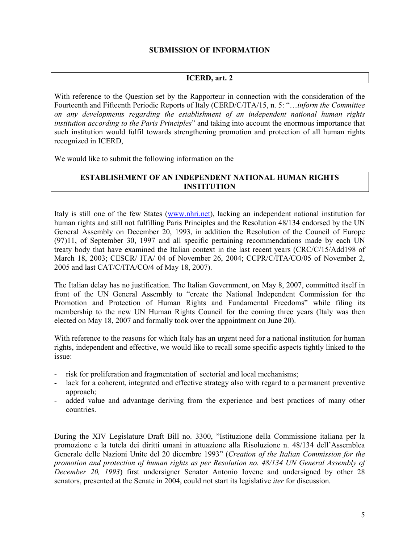#### **SUBMISSION OF INFORMATION**

## ICERD, art. 2

With reference to the Ouestion set by the Rapporteur in connection with the consideration of the Fourteenth and Fifteenth Periodic Reports of Italy (CERD/C/ITA/15, n. 5: "...inform the Committee on any developments regarding the establishment of an independent national human rights institution according to the Paris Principles" and taking into account the enormous importance that such institution would fulfil towards strengthening promotion and protection of all human rights recognized in ICERD.

We would like to submit the following information on the

### **ESTABLISHMENT OF AN INDEPENDENT NATIONAL HUMAN RIGHTS INSTITUTION**

Italy is still one of the few States (www.nhri.net), lacking an independent national institution for human rights and still not fulfilling Paris Principles and the Resolution 48/134 endorsed by the UN General Assembly on December 20, 1993, in addition the Resolution of the Council of Europe  $(97)11$ , of September 30, 1997 and all specific pertaining recommendations made by each UN treaty body that have examined the Italian context in the last recent years (CRC/C/15/Add198 of March 18, 2003; CESCR/ITA/04 of November 26, 2004; CCPR/C/ITA/CO/05 of November 2, 2005 and last CAT/C/ITA/CO/4 of May 18, 2007).

The Italian delay has no justification. The Italian Government, on May 8, 2007, committed itself in front of the UN General Assembly to "create the National Independent Commission for the Promotion and Protection of Human Rights and Fundamental Freedoms" while filing its membership to the new UN Human Rights Council for the coming three years (Italy was then elected on May 18, 2007 and formally took over the appointment on June 20).

With reference to the reasons for which Italy has an urgent need for a national institution for human rights, independent and effective, we would like to recall some specific aspects tightly linked to the issue:

- risk for proliferation and fragmentation of sectorial and local mechanisms;  $\mathbf{L}^{\left(1\right)}$
- lack for a coherent, integrated and effective strategy also with regard to a permanent preventive approach;
- added value and advantage deriving from the experience and best practices of many other countries

During the XIV Legislature Draft Bill no. 3300, "Istituzione della Commissione italiana per la promozione e la tutela dei diritti umani in attuazione alla Risoluzione n. 48/134 dell'Assemblea Generale delle Nazioni Unite del 20 dicembre 1993" (Creation of the Italian Commission for the promotion and protection of human rights as per Resolution no. 48/134 UN General Assembly of December 20, 1993) first undersigner Senator Antonio Iovene and undersigned by other 28 senators, presented at the Senate in 2004, could not start its legislative *iter* for discussion.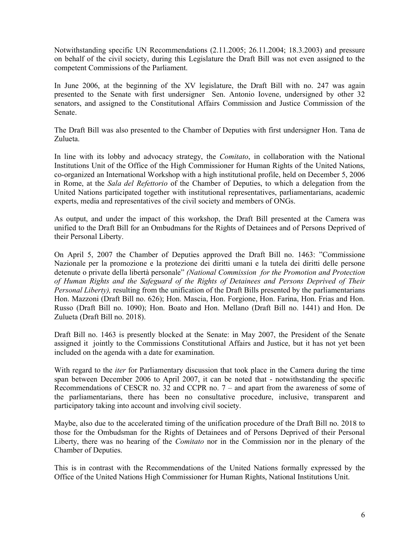Notwithstanding specific UN Recommendations (2.11.2005; 26.11.2004; 18.3.2003) and pressure on behalf of the civil society, during this Legislature the Draft Bill was not even assigned to the competent Commissions of the Parliament.

In June 2006, at the beginning of the XV legislature, the Draft Bill with no. 247 was again presented to the Senate with first undersigner Sen. Antonio Iovene, undersigned by other 32 senators, and assigned to the Constitutional Affairs Commission and Justice Commission of the Senate.

The Draft Bill was also presented to the Chamber of Deputies with first undersigner Hon. Tana de Zulueta.

In line with its lobby and advocacy strategy, the *Comitato*, in collaboration with the National Institutions Unit of the Office of the High Commissioner for Human Rights of the United Nations, co-organized an International Workshop with a high institutional profile, held on December 5, 2006 in Rome, at the Sala del Refettorio of the Chamber of Deputies, to which a delegation from the United Nations participated together with institutional representatives, parliamentarians, academic experts, media and representatives of the civil society and members of ONGs.

As output, and under the impact of this workshop, the Draft Bill presented at the Camera was unified to the Draft Bill for an Ombudmans for the Rights of Detainees and of Persons Deprived of their Personal Liberty.

On April 5, 2007 the Chamber of Deputies approved the Draft Bill no. 1463: "Commissione" Nazionale per la promozione e la protezione dei diritti umani e la tutela dei diritti delle persone detenute o private della libertà personale" (National Commission for the Promotion and Protection of Human Rights and the Safeguard of the Rights of Detainees and Persons Deprived of Their Personal Liberty), resulting from the unification of the Draft Bills presented by the parliamentarians Hon, Mazzoni (Draft Bill no. 626); Hon, Mascia, Hon, Forgione, Hon, Farina, Hon, Frias and Hon, Russo (Draft Bill no. 1090); Hon. Boato and Hon. Mellano (Draft Bill no. 1441) and Hon. De Zulueta (Draft Bill no. 2018).

Draft Bill no. 1463 is presently blocked at the Senate: in May 2007, the President of the Senate assigned it jointly to the Commissions Constitutional Affairs and Justice, but it has not yet been included on the agenda with a date for examination.

With regard to the *iter* for Parliamentary discussion that took place in the Camera during the time span between December 2006 to April 2007, it can be noted that - notwithstanding the specific Recommendations of CESCR no. 32 and CCPR no.  $7$  – and apart from the awareness of some of the parliamentarians, there has been no consultative procedure, inclusive, transparent and participatory taking into account and involving civil society.

Maybe, also due to the accelerated timing of the unification procedure of the Draft Bill no. 2018 to those for the Ombudsman for the Rights of Detainees and of Persons Deprived of their Personal Liberty, there was no hearing of the *Comitato* nor in the Commission nor in the plenary of the Chamber of Deputies.

This is in contrast with the Recommendations of the United Nations formally expressed by the Office of the United Nations High Commissioner for Human Rights, National Institutions Unit.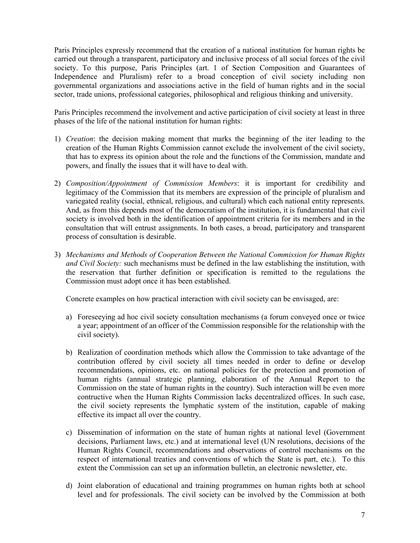Paris Principles expressly recommend that the creation of a national institution for human rights be carried out through a transparent, participatory and inclusive process of all social forces of the civil society. To this purpose, Paris Principles (art. 1 of Section Composition and Guarantees of Independence and Pluralism) refer to a broad conception of civil society including non governmental organizations and associations active in the field of human rights and in the social sector, trade unions, professional categories, philosophical and religious thinking and university.

Paris Principles recommend the involvement and active participation of civil society at least in three phases of the life of the national institution for human rights:

- 1) *Creation*: the decision making moment that marks the beginning of the iter leading to the creation of the Human Rights Commission cannot exclude the involvement of the civil society, that has to express its opinion about the role and the functions of the Commission, mandate and powers, and finally the issues that it will have to deal with.
- 2) Composition/Appointment of Commission Members: it is important for credibility and legitimacy of the Commission that its members are expression of the principle of pluralism and variegated reality (social, ethnical, religious, and cultural) which each national entity represents. And, as from this depends most of the democratism of the institution, it is fundamental that civil society is involved both in the identification of appointment criteria for its members and in the consultation that will entrust assignments. In both cases, a broad, participatory and transparent process of consultation is desirable.
- 3) Mechanisms and Methods of Cooperation Between the National Commission for Human Rights and Civil Society: such mechanisms must be defined in the law establishing the institution, with the reservation that further definition or specification is remitted to the regulations the Commission must adopt once it has been established.

Concrete examples on how practical interaction with civil society can be envisaged, are:

- a) Foreseeying ad hoc civil society consultation mechanisms (a forum conveyed once or twice a year; appointment of an officer of the Commission responsible for the relationship with the civil society).
- b) Realization of coordination methods which allow the Commission to take advantage of the contribution offered by civil society all times needed in order to define or develop recommendations, opinions, etc. on national policies for the protection and promotion of human rights (annual strategic planning, elaboration of the Annual Report to the Commission on the state of human rights in the country). Such interaction will be even more contructive when the Human Rights Commission lacks decentralized offices. In such case, the civil society represents the lymphatic system of the institution, capable of making effective its impact all over the country.
- c) Dissemination of information on the state of human rights at national level (Government decisions, Parliament laws, etc.) and at international level (UN resolutions, decisions of the Human Rights Council, recommendations and observations of control mechanisms on the respect of international treaties and conventions of which the State is part, etc.). To this extent the Commission can set up an information bulletin, an electronic newsletter, etc.
- d) Joint elaboration of educational and training programmes on human rights both at school level and for professionals. The civil society can be involved by the Commission at both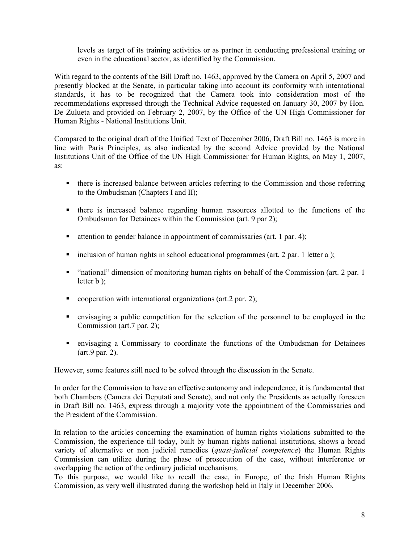levels as target of its training activities or as partner in conducting professional training or even in the educational sector, as identified by the Commission.

With regard to the contents of the Bill Draft no. 1463, approved by the Camera on April 5, 2007 and presently blocked at the Senate, in particular taking into account its conformity with international standards, it has to be recognized that the Camera took into consideration most of the recommendations expressed through the Technical Advice requested on January 30, 2007 by Hon. De Zulueta and provided on February 2, 2007, by the Office of the UN High Commissioner for Human Rights - National Institutions Unit.

Compared to the original draft of the Unified Text of December 2006, Draft Bill no. 1463 is more in line with Paris Principles, as also indicated by the second Advice provided by the National Institutions Unit of the Office of the UN High Commissioner for Human Rights, on May 1, 2007, as:

- there is increased balance between articles referring to the Commission and those referring to the Ombudsman (Chapters I and II);
- there is increased balance regarding human resources allotted to the functions of the Ombudsman for Detainees within the Commission (art. 9 par 2);
- attention to gender balance in appointment of commissaries (art. 1 par. 4);
- inclusion of human rights in school educational programmes (art. 2 par. 1 letter a );
- "national" dimension of monitoring human rights on behalf of the Commission (art. 2 par. 1 letter  $\mathbf b$  );
- cooperation with international organizations (art.  $2$  par. 2);
- envisaging a public competition for the selection of the personnel to be employed in the Commission (art. 7 par. 2);
- envisaging a Commissary to coordinate the functions of the Ombudsman for Detainees  $(art.9 par. 2).$

However, some features still need to be solved through the discussion in the Senate.

In order for the Commission to have an effective autonomy and independence, it is fundamental that both Chambers (Camera dei Deputati and Senate), and not only the Presidents as actually foreseen in Draft Bill no. 1463, express through a majority vote the appointment of the Commissaries and the President of the Commission.

In relation to the articles concerning the examination of human rights violations submitted to the Commission, the experience till today, built by human rights national institutions, shows a broad variety of alternative or non judicial remedies (quasi-judicial competence) the Human Rights Commission can utilize during the phase of prosecution of the case, without interference or overlapping the action of the ordinary judicial mechanisms.

To this purpose, we would like to recall the case, in Europe, of the Irish Human Rights Commission, as very well illustrated during the workshop held in Italy in December 2006.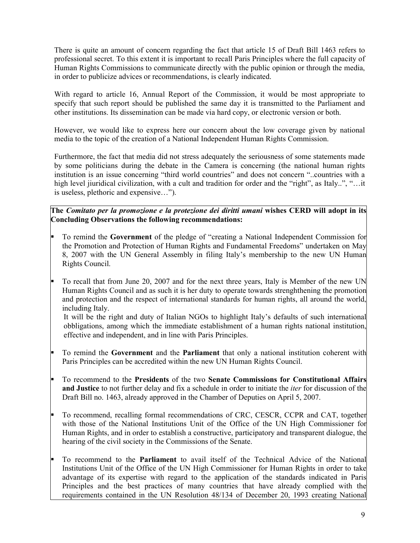There is quite an amount of concern regarding the fact that article 15 of Draft Bill 1463 refers to professional secret. To this extent it is important to recall Paris Principles where the full capacity of Human Rights Commissions to communicate directly with the public opinion or through the media, in order to publicize advices or recommendations, is clearly indicated.

With regard to article 16, Annual Report of the Commission, it would be most appropriate to specify that such report should be published the same day it is transmitted to the Parliament and other institutions. Its dissemination can be made via hard copy, or electronic version or both.

However, we would like to express here our concern about the low coverage given by national media to the topic of the creation of a National Independent Human Rights Commission.

Furthermore, the fact that media did not stress adequately the seriousness of some statements made by some politicians during the debate in the Camera is concerning (the national human rights institution is an issue concerning "third world countries" and does not concern "..countries with a high level juridical civilization, with a cult and tradition for order and the "right", as Italy..", "...it is useless, plethoric and expensive...").

The Comitato per la promozione e la protezione dei diritti umani wishes CERD will adopt in its **Concluding Observations the following recommendations:** 

- H To remind the Government of the pledge of "creating a National Independent Commission for the Promotion and Protection of Human Rights and Fundamental Freedoms" undertaken on May 8, 2007 with the UN General Assembly in filing Italy's membership to the new UN Human Rights Council.
- To recall that from June 20, 2007 and for the next three years, Italy is Member of the new UN Human Rights Council and as such it is her duty to operate towards strenghthening the promotion and protection and the respect of international standards for human rights, all around the world, including Italy.

It will be the right and duty of Italian NGOs to highlight Italy's defaults of such international obbligations, among which the immediate establishment of a human rights national institution, effective and independent, and in line with Paris Principles.

- To remind the Government and the Parliament that only a national institution coherent with Paris Principles can be accredited within the new UN Human Rights Council.
- To recommend to the Presidents of the two Senate Commissions for Constitutional Affairs Þ. and Justice to not further delay and fix a schedule in order to initiate the *iter* for discussion of the Draft Bill no. 1463, already approved in the Chamber of Deputies on April 5, 2007.
- To recommend, recalling formal recommendations of CRC, CESCR, CCPR and CAT, together with those of the National Institutions Unit of the Office of the UN High Commissioner for Human Rights, and in order to establish a constructive, participatory and transparent dialogue, the hearing of the civil society in the Commissions of the Senate.
- Ŀ. To recommend to the **Parliament** to avail itself of the Technical Advice of the National Institutions Unit of the Office of the UN High Commissioner for Human Rights in order to take advantage of its expertise with regard to the application of the standards indicated in Paris Principles and the best practices of many countries that have already complied with the requirements contained in the UN Resolution 48/134 of December 20, 1993 creating National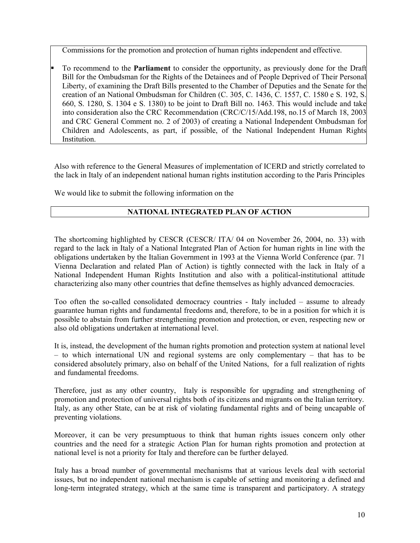Commissions for the promotion and protection of human rights independent and effective.

 $\blacksquare$  To recommend to the **Parliament** to consider the opportunity, as previously done for the Draft Bill for the Ombudsman for the Rights of the Detainees and of People Deprived of Their Personal Liberty, of examining the Draft Bills presented to the Chamber of Deputies and the Senate for the creation of an National Ombudsman for Children (C. 305, C. 1436, C. 1557, C. 1580 e S. 192, S. 660, S. 1280, S. 1304 e S. 1380) to be joint to Draft Bill no. 1463. This would include and take into consideration also the CRC Recommendation (CRC/C/15/Add.198, no.15 of March 18, 2003 and CRC General Comment no. 2 of 2003) of creating a National Independent Ombudsman for Children and Adolescents, as part, if possible, of the National Independent Human Rights Institution.

Also with reference to the General Measures of implementation of ICERD and strictly correlated to the lack in Italy of an independent national human rights institution according to the Paris Principles

We would like to submit the following information on the

## NATIONAL INTEGRATED PLAN OF ACTION

The shortcoming highlighted by CESCR (CESCR/ITA/04 on November 26, 2004, no. 33) with regard to the lack in Italy of a National Integrated Plan of Action for human rights in line with the obligations undertaken by the Italian Government in 1993 at the Vienna World Conference (par. 71 Vienna Declaration and related Plan of Action) is tightly connected with the lack in Italy of a National Independent Human Rights Institution and also with a political-institutional attitude characterizing also many other countries that define themselves as highly advanced democracies.

Too often the so-called consolidated democracy countries - Italy included  $-$  assume to already guarantee human rights and fundamental freedoms and, therefore, to be in a position for which it is possible to abstain from further strengthening promotion and protection, or even, respecting new or also old obligations undertaken at international level.

It is, instead, the development of the human rights promotion and protection system at national level  $-$  to which international UN and regional systems are only complementary  $-$  that has to be considered absolutely primary, also on behalf of the United Nations, for a full realization of rights and fundamental freedoms.

Therefore, just as any other country, Italy is responsible for upgrading and strengthening of promotion and protection of universal rights both of its citizens and migrants on the Italian territory. Italy, as any other State, can be at risk of violating fundamental rights and of being uncapable of preventing violations.

Moreover, it can be very presumptuous to think that human rights issues concern only other countries and the need for a strategic Action Plan for human rights promotion and protection at national level is not a priority for Italy and therefore can be further delayed.

Italy has a broad number of governmental mechanisms that at various levels deal with sectorial issues, but no independent national mechanism is capable of setting and monitoring a defined and long-term integrated strategy, which at the same time is transparent and participatory. A strategy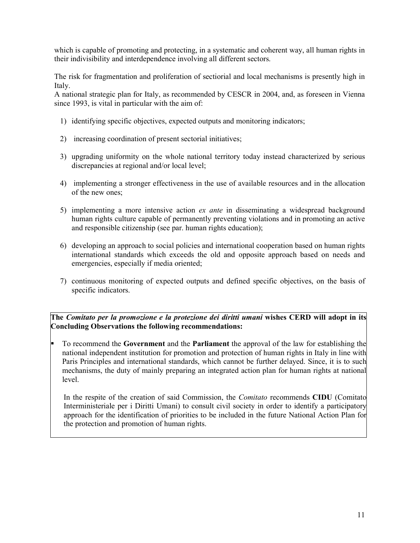which is capable of promoting and protecting, in a systematic and coherent way, all human rights in their indivisibility and interdependence involving all different sectors.

The risk for fragmentation and proliferation of sectiorial and local mechanisms is presently high in Italy.

A national strategic plan for Italy, as recommended by CESCR in 2004, and, as foreseen in Vienna since 1993, is vital in particular with the aim of:

- 1) identifying specific objectives, expected outputs and monitoring indicators;
- 2) increasing coordination of present sectorial initiatives;
- 3) upgrading uniformity on the whole national territory today instead characterized by serious discrepancies at regional and/or local level;
- 4) implementing a stronger effectiveness in the use of available resources and in the allocation of the new ones:
- 5) implementing a more intensive action ex ante in disseminating a widespread background human rights culture capable of permanently preventing violations and in promoting an active and responsible citizenship (see par. human rights education);
- 6) developing an approach to social policies and international cooperation based on human rights international standards which exceeds the old and opposite approach based on needs and emergencies, especially if media oriented;
- 7) continuous monitoring of expected outputs and defined specific objectives, on the basis of specific indicators.

The Comitato per la promozione e la protezione dei diritti umani wishes CERD will adopt in its Concluding Observations the following recommendations:

Ŀ. To recommend the Government and the Parliament the approval of the law for establishing the national independent institution for promotion and protection of human rights in Italy in line with Paris Principles and international standards, which cannot be further delayed. Since, it is to such mechanisms, the duty of mainly preparing an integrated action plan for human rights at national level.

In the respite of the creation of said Commission, the *Comitato* recommends **CIDU** (Comitato Interministeriale per i Diritti Umani) to consult civil society in order to identify a participatory approach for the identification of priorities to be included in the future National Action Plan for the protection and promotion of human rights.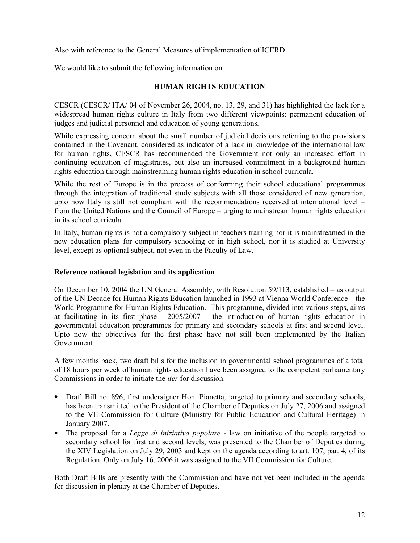Also with reference to the General Measures of implementation of ICERD

We would like to submit the following information on

#### **HUMAN RIGHTS EDUCATION**

CESCR (CESCR/ITA/04 of November 26, 2004, no. 13, 29, and 31) has highlighted the lack for a widespread human rights culture in Italy from two different viewpoints: permanent education of judges and judicial personnel and education of young generations.

While expressing concern about the small number of judicial decisions referring to the provisions contained in the Covenant, considered as indicator of a lack in knowledge of the international law for human rights, CESCR has recommended the Government not only an increased effort in continuing education of magistrates, but also an increased commitment in a background human rights education through mainstreaming human rights education in school curricula.

While the rest of Europe is in the process of conforming their school educational programmes through the integration of traditional study subjects with all those considered of new generation, upto now Italy is still not compliant with the recommendations received at international level  $$ from the United Nations and the Council of Europe – urging to mainstream human rights education in its school curricula.

In Italy, human rights is not a compulsory subject in teachers training nor it is mainstreamed in the new education plans for compulsory schooling or in high school, nor it is studied at University level, except as optional subject, not even in the Faculty of Law.

#### Reference national legislation and its application

On December 10, 2004 the UN General Assembly, with Resolution 59/113, established – as output of the UN Decade for Human Rights Education launched in 1993 at Vienna World Conference – the World Programme for Human Rights Education. This programme, divided into various steps, aims at facilitating in its first phase -  $2005/2007$  – the introduction of human rights education in governmental education programmes for primary and secondary schools at first and second level. Upto now the objectives for the first phase have not still been implemented by the Italian Government.

A few months back, two draft bills for the inclusion in governmental school programmes of a total of 18 hours per week of human rights education have been assigned to the competent parliamentary Commissions in order to initiate the *iter* for discussion

- Draft Bill no. 896, first undersigner Hon. Pianetta, targeted to primary and secondary schools,  $\bullet$ has been transmitted to the President of the Chamber of Deputies on July 27, 2006 and assigned to the VII Commission for Culture (Ministry for Public Education and Cultural Heritage) in January 2007.
- $\bullet$ The proposal for a *Legge di iniziativa popolare* - law on initiative of the people targeted to secondary school for first and second levels, was presented to the Chamber of Deputies during the XIV Legislation on July 29, 2003 and kept on the agenda according to art. 107, par. 4, of its Regulation. Only on July 16, 2006 it was assigned to the VII Commission for Culture.

Both Draft Bills are presently with the Commission and have not yet been included in the agenda for discussion in plenary at the Chamber of Deputies.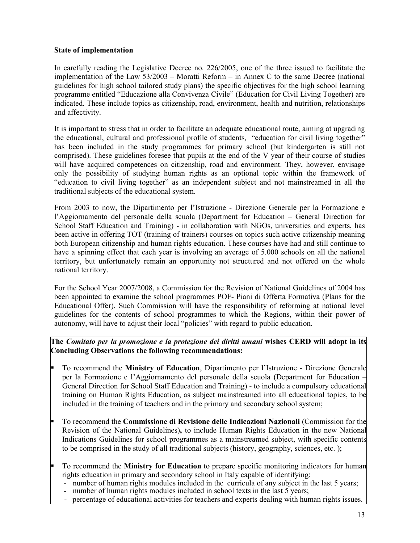#### **State of implementation**

In carefully reading the Legislative Decree no. 226/2005, one of the three issued to facilitate the implementation of the Law  $53/2003$  – Moratti Reform – in Annex C to the same Decree (national guidelines for high school tailored study plans) the specific objectives for the high school learning programme entitled "Educazione alla Convivenza Civile" (Education for Civil Living Together) are indicated. These include topics as citizenship, road, environment, health and nutrition, relationships and affectivity.

It is important to stress that in order to facilitate an adequate educational route, aiming at upgrading the educational, cultural and professional profile of students, "education for civil living together" has been included in the study programmes for primary school (but kindergarten is still not comprised). These guidelines foresee that pupils at the end of the V year of their course of studies will have acquired competences on citizenship, road and environment. They, however, envisage only the possibility of studying human rights as an optional topic within the framework of "education to civil living together" as an independent subject and not mainstreamed in all the traditional subjects of the educational system.

From 2003 to now, the Dipartimento per l'Istruzione - Direzione Generale per la Formazione e l'Aggiornamento del personale della scuola (Department for Education – General Direction for School Staff Education and Training) - in collaboration with NGOs, universities and experts, has been active in offering TOT (training of trainers) courses on topics such active citizenship meaning both European citizenship and human rights education. These courses have had and still continue to have a spinning effect that each year is involving an average of 5.000 schools on all the national territory, but unfortunately remain an opportunity not structured and not offered on the whole national territory.

For the School Year 2007/2008, a Commission for the Revision of National Guidelines of 2004 has been appointed to examine the school programmes POF- Piani di Offerta Formativa (Plans for the Educational Offer). Such Commission will have the responsibility of reforming at national level guidelines for the contents of school programmes to which the Regions, within their power of autonomy, will have to adjust their local "policies" with regard to public education.

The Comitato per la promozione e la protezione dei diritti umani wishes CERD will adopt in its Concluding Observations the following recommendations:

- Ŀ. To recommend the Ministry of Education, Dipartimento per l'Istruzione - Direzione Generale per la Formazione e l'Aggiornamento del personale della scuola (Department for Education General Direction for School Staff Education and Training) - to include a compulsory educational training on Human Rights Education, as subject mainstreamed into all educational topics, to be included in the training of teachers and in the primary and secondary school system;
- To recommend the **Commissione di Revisione delle Indicazioni Nazionali** (Commission for the Revision of the National Guidelines), to include Human Rights Education in the new National Indications Guidelines for school programmes as a mainstreamed subject, with specific contents to be comprised in the study of all traditional subjects (history, geography, sciences, etc.);
- To recommend the **Ministry for Education** to prepare specific monitoring indicators for human rights education in primary and secondary school in Italy capable of identifying:
	- number of human rights modules included in the curricula of any subject in the last 5 years;  $\mathbb{Z}^{\mathbb{Z}}$
	- number of human rights modules included in school texts in the last 5 years;
	- percentage of educational activities for teachers and experts dealing with human rights issues.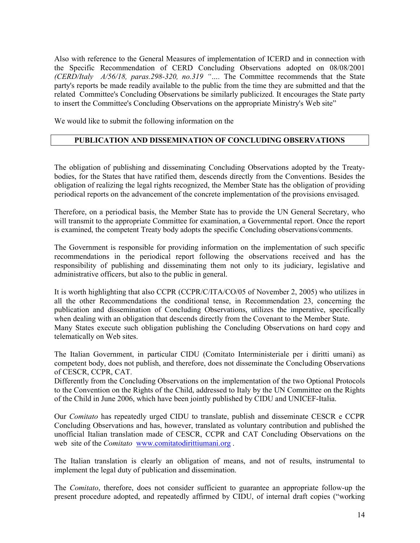Also with reference to the General Measures of implementation of ICERD and in connection with the Specific Recommendation of CERD Concluding Observations adopted on 08/08/2001 (CERD/Italy A/56/18, paras.298-320, no.319 ".... The Committee recommends that the State party's reports be made readily available to the public from the time they are submitted and that the related Committee's Concluding Observations be similarly publicized. It encourages the State party to insert the Committee's Concluding Observations on the appropriate Ministry's Web site"

We would like to submit the following information on the

## PUBLICATION AND DISSEMINATION OF CONCLUDING OBSERVATIONS

The obligation of publishing and disseminating Concluding Observations adopted by the Treatybodies, for the States that have ratified them, descends directly from the Conventions. Besides the obligation of realizing the legal rights recognized, the Member State has the obligation of providing periodical reports on the advancement of the concrete implementation of the provisions envisaged.

Therefore, on a periodical basis, the Member State has to provide the UN General Secretary, who will transmit to the appropriate Committee for examination, a Governmental report. Once the report is examined, the competent Treaty body adopts the specific Concluding observations/comments.

The Government is responsible for providing information on the implementation of such specific recommendations in the periodical report following the observations received and has the responsibility of publishing and disseminating them not only to its judiciary, legislative and administrative officers, but also to the public in general.

It is worth highlighting that also CCPR (CCPR/C/ITA/CO/05 of November 2, 2005) who utilizes in all the other Recommendations the conditional tense, in Recommendation 23, concerning the publication and dissemination of Concluding Observations, utilizes the imperative, specifically when dealing with an obligation that descends directly from the Covenant to the Member State. Many States execute such obligation publishing the Concluding Observations on hard copy and telematically on Web sites.

The Italian Government, in particular CIDU (Comitato Interministeriale per i diritti umani) as competent body, does not publish, and therefore, does not disseminate the Concluding Observations of CESCR, CCPR, CAT.

Differently from the Concluding Observations on the implementation of the two Optional Protocols to the Convention on the Rights of the Child, addressed to Italy by the UN Committee on the Rights of the Child in June 2006, which have been jointly published by CIDU and UNICEF-Italia.

Our *Comitato* has repeatedly urged CIDU to translate, publish and disseminate CESCR e CCPR Concluding Observations and has, however, translated as voluntary contribution and published the unofficial Italian translation made of CESCR, CCPR and CAT Concluding Observations on the web site of the *Comitato* www.comitatodirittiumani.org.

The Italian translation is clearly an obligation of means, and not of results, instrumental to implement the legal duty of publication and dissemination.

The *Comitato*, therefore, does not consider sufficient to guarantee an appropriate follow-up the present procedure adopted, and repeatedly affirmed by CIDU, of internal draft copies ("working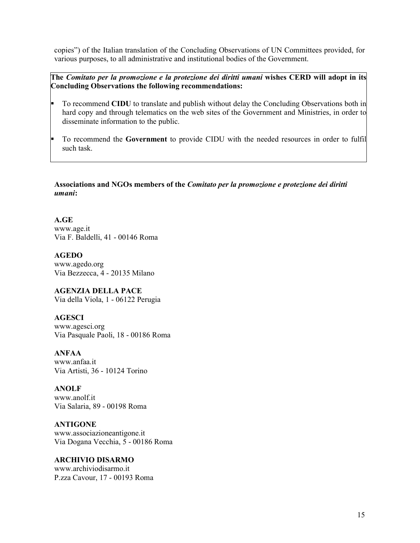copies") of the Italian translation of the Concluding Observations of UN Committees provided, for various purposes, to all administrative and institutional bodies of the Government.

The Comitato per la promozione e la protezione dei diritti umani wishes CERD will adopt in its Concluding Observations the following recommendations:

- Ŀ. To recommend CIDU to translate and publish without delay the Concluding Observations both in hard copy and through telematics on the web sites of the Government and Ministries, in order to disseminate information to the public.
- To recommend the Government to provide CIDU with the needed resources in order to fulfil such task.

Associations and NGOs members of the *Comitato per la promozione e protezione dei diritti* umani:

 $A.GE$ www.age.it Via F. Baldelli, 41 - 00146 Roma

**AGEDO** www.agedo.org Via Bezzecca, 4 - 20135 Milano

**AGENZIA DELLA PACE** Via della Viola, 1 - 06122 Perugia

**AGESCI** www.agesci.org Via Pasquale Paoli, 18 - 00186 Roma

**ANFAA** www.anfaa.it Via Artisti, 36 - 10124 Torino

**ANOLF** www.anolf.it Via Salaria, 89 - 00198 Roma

**ANTIGONE** www.associazioneantigone.it Via Dogana Vecchia, 5 - 00186 Roma

**ARCHIVIO DISARMO** www.archiviodisarmo.it P.zza Cavour, 17 - 00193 Roma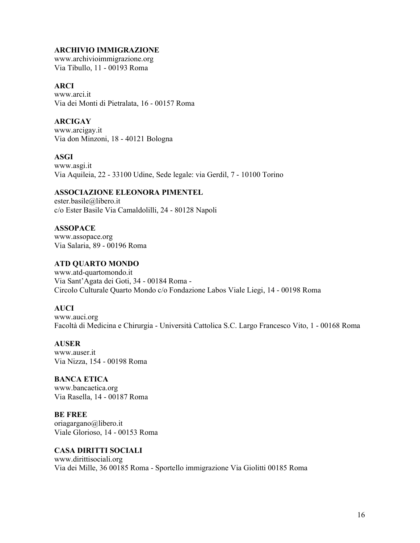#### **ARCHIVIO IMMIGRAZIONE**

www.archivioimmigrazione.org Via Tibullo, 11 - 00193 Roma

#### **ARCI**

www.arci.it Via dei Monti di Pietralata, 16 - 00157 Roma

## **ARCIGAY**

www.arcigay.it Via don Minzoni, 18 - 40121 Bologna

#### **ASGI**

www.asgi.it Via Aquileia, 22 - 33100 Udine, Sede legale: via Gerdil, 7 - 10100 Torino

#### **ASSOCIAZIONE ELEONORA PIMENTEL**

ester.basile@libero.it c/o Ester Basile Via Camaldolilli, 24 - 80128 Napoli

#### **ASSOPACE**

www.assopace.org Via Salaria, 89 - 00196 Roma

### **ATD QUARTO MONDO**

www.atd-quartomondo.it Via Sant'Agata dei Goti, 34 - 00184 Roma -Circolo Culturale Quarto Mondo c/o Fondazione Labos Viale Liegi, 14 - 00198 Roma

#### **AUCI**

www.auci.org Facoltà di Medicina e Chirurgia - Università Cattolica S.C. Largo Francesco Vito, 1 - 00168 Roma

#### **AUSER**

www.auser.it Via Nizza, 154 - 00198 Roma

## **BANCA ETICA**

www.bancaetica.org Via Rasella, 14 - 00187 Roma

**BE FREE** oriagargano@libero.it Viale Glorioso, 14 - 00153 Roma

#### **CASA DIRITTI SOCIALI**

www.dirittisociali.org Via dei Mille, 36 00185 Roma - Sportello immigrazione Via Giolitti 00185 Roma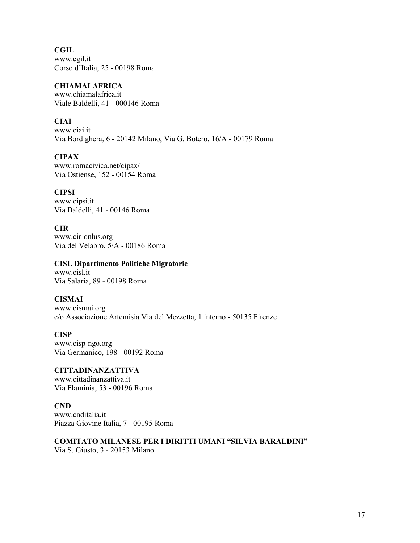**CGIL** www.cgil.it Corso d'Italia, 25 - 00198 Roma

#### **CHIAMALAFRICA**

www.chiamalafrica.it Viale Baldelli, 41 - 000146 Roma

## **CIAI**

www.ciai.it Via Bordighera, 6 - 20142 Milano, Via G. Botero, 16/A - 00179 Roma

## **CIPAX**

www.romacivica.net/cipax/ Via Ostiense, 152 - 00154 Roma

### **CIPSI**

www.cipsi.it Via Baldelli, 41 - 00146 Roma

## **CIR**

www.cir-onlus.org Via del Velabro, 5/A - 00186 Roma

### **CISL Dipartimento Politiche Migratorie**

www.cisl.it Via Salaria, 89 - 00198 Roma

## **CISMAI**

www.cismai.org c/o Associazione Artemisia Via del Mezzetta, 1 interno - 50135 Firenze

#### **CISP**

www.cisp-ngo.org Via Germanico, 198 - 00192 Roma

**CITTADINANZATTIVA** www.cittadinanzattiva.it Via Flaminia, 53 - 00196 Roma

#### $CND$

www.cnditalia.it Piazza Giovine Italia, 7 - 00195 Roma

**COMITATO MILANESE PER I DIRITTI UMANI "SILVIA BARALDINI"** Via S. Giusto, 3 - 20153 Milano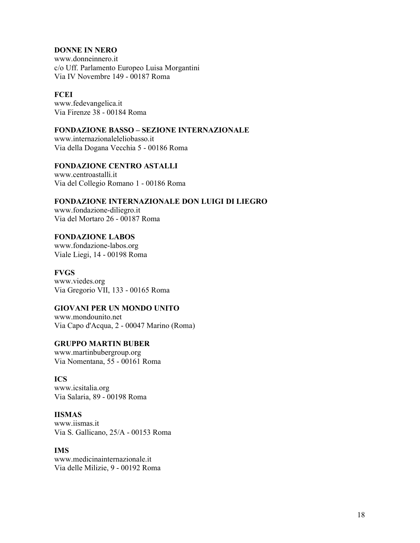## **DONNE IN NERO**

www.donneinnero.it c/o Uff. Parlamento Europeo Luisa Morgantini Via IV Novembre 149 - 00187 Roma

#### **FCEI**

www.fedevangelica.it Via Firenze 38 - 00184 Roma

## **FONDAZIONE BASSO - SEZIONE INTERNAZIONALE**

www.internazionaleleliobasso.it Via della Dogana Vecchia 5 - 00186 Roma

#### **FONDAZIONE CENTRO ASTALLI** www.centroastalli.it Via del Collegio Romano 1 - 00186 Roma

## FONDAZIONE INTERNAZIONALE DON LUIGI DI LIEGRO

www.fondazione-diliegro.it Via del Mortaro 26 - 00187 Roma

## **FONDAZIONE LABOS**

www.fondazione-labos.org Viale Liegi, 14 - 00198 Roma

#### **FVGS**

www.viedes.org Via Gregorio VII, 133 - 00165 Roma

#### **GIOVANI PER UN MONDO UNITO**

www.mondounito.net Via Capo d'Acqua, 2 - 00047 Marino (Roma)

#### **GRUPPO MARTIN BUBER**

www.martinbubergroup.org Via Nomentana, 55 - 00161 Roma

#### **ICS**

www.icsitalia.org Via Salaria, 89 - 00198 Roma

### **IISMAS**

www.jismas.it Via S. Gallicano, 25/A - 00153 Roma

#### **IMS**

www.medicinainternazionale.it Via delle Milizie, 9 - 00192 Roma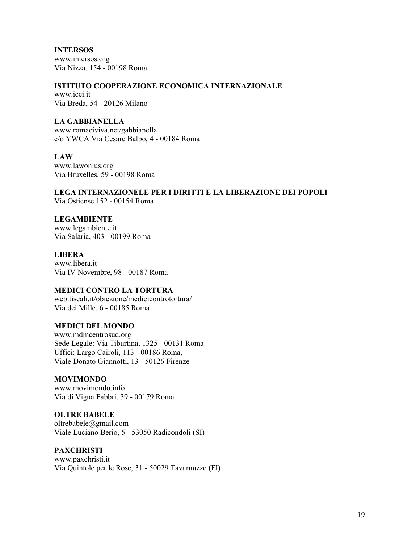**INTERSOS** www.intersos.org Via Nizza, 154 - 00198 Roma

#### ISTITUTO COOPERAZIONE ECONOMICA INTERNAZIONALE

www.icei.it Via Breda, 54 - 20126 Milano

#### **LA GABBIANELLA**

www.romaciviva.net/gabbianella c/o YWCA Via Cesare Balbo, 4 - 00184 Roma

#### **LAW**

www.lawonlus.org Via Bruxelles, 59 - 00198 Roma

#### LEGA INTERNAZIONELE PER I DIRITTI E LA LIBERAZIONE DEI POPOLI Via Ostiense 152 - 00154 Roma

**LEGAMBIENTE** 

www.legambiente.it Via Salaria, 403 - 00199 Roma

#### **LIBERA**

www.libera.it Via IV Novembre, 98 - 00187 Roma

#### **MEDICI CONTRO LA TORTURA**

web tiscali.it/objezione/medicicontrotortura/ Via dei Mille, 6 - 00185 Roma

#### **MEDICI DEL MONDO**

www.mdmcentrosud.org Sede Legale: Via Tiburtina, 1325 - 00131 Roma Uffici: Largo Cairoli, 113 - 00186 Roma, Viale Donato Giannotti, 13 - 50126 Firenze

#### **MOVIMONDO**

www.movimondo.info Via di Vigna Fabbri, 39 - 00179 Roma

**OLTRE BABELE** 

oltrebabele@gmail.com Viale Luciano Berio, 5 - 53050 Radicondoli (SI)

#### **PAXCHRISTI**

www.paxchristi.it Via Quintole per le Rose, 31 - 50029 Tavarnuzze (FI)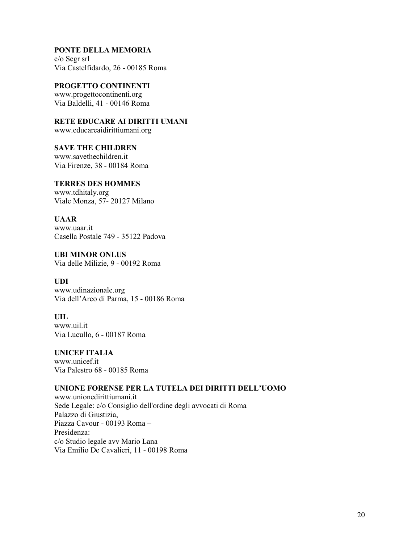## PONTE DELLA MEMORIA

 $c/o$  Segr srl Via Castelfidardo, 26 - 00185 Roma

#### PROGETTO CONTINENTI

www.progettocontinenti.org Via Baldelli, 41 - 00146 Roma

## RETE EDUCARE AI DIRITTI UMANI

www.educareaidirittiumani.org

#### **SAVE THE CHILDREN**

www.savethechildren.it Via Firenze, 38 - 00184 Roma

## **TERRES DES HOMMES**

www.tdhitaly.org Viale Monza, 57-20127 Milano

#### **UAAR**

www.uaar.it Casella Postale 749 - 35122 Padova

#### **UBI MINOR ONLUS** Via delle Milizie, 9 - 00192 Roma

#### **UDI** www.udinazionale.org Via dell'Arco di Parma, 15 - 00186 Roma

## **UIL**

www.uil.it Via Lucullo, 6 - 00187 Roma

## **UNICEF ITALIA**

www.unicef.it Via Palestro 68 - 00185 Roma

## UNIONE FORENSE PER LA TUTELA DEI DIRITTI DELL'UOMO

www.unionedirittiumani.it Sede Legale: c/o Consiglio dell'ordine degli avvocati di Roma Palazzo di Giustizia. Piazza Cavour - 00193 Roma -Presidenza: c/o Studio legale avv Mario Lana Via Emilio De Cavalieri, 11 - 00198 Roma